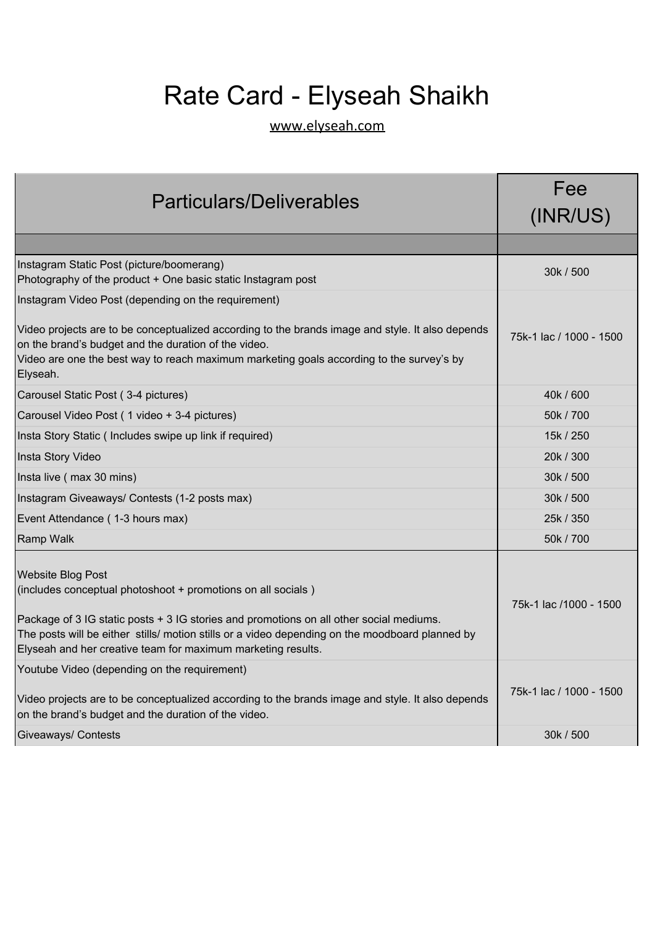## Rate Card - Elyseah Shaikh

[www.elyseah.com](https://elyseah.com/)

| <b>Particulars/Deliverables</b>                                                                                                                                                                                                                                                                                                                        | Fee<br>(INR/US)         |
|--------------------------------------------------------------------------------------------------------------------------------------------------------------------------------------------------------------------------------------------------------------------------------------------------------------------------------------------------------|-------------------------|
|                                                                                                                                                                                                                                                                                                                                                        |                         |
| Instagram Static Post (picture/boomerang)<br>Photography of the product + One basic static Instagram post                                                                                                                                                                                                                                              | 30k / 500               |
| Instagram Video Post (depending on the requirement)<br>Video projects are to be conceptualized according to the brands image and style. It also depends<br>on the brand's budget and the duration of the video.<br>Video are one the best way to reach maximum marketing goals according to the survey's by<br>Elyseah.                                | 75k-1 lac / 1000 - 1500 |
| Carousel Static Post (3-4 pictures)                                                                                                                                                                                                                                                                                                                    | 40k / 600               |
| Carousel Video Post (1 video + 3-4 pictures)                                                                                                                                                                                                                                                                                                           | 50k / 700               |
| Insta Story Static (Includes swipe up link if required)                                                                                                                                                                                                                                                                                                | 15k / 250               |
| Insta Story Video                                                                                                                                                                                                                                                                                                                                      | 20k / 300               |
| Insta live (max 30 mins)                                                                                                                                                                                                                                                                                                                               | 30k / 500               |
| Instagram Giveaways/ Contests (1-2 posts max)                                                                                                                                                                                                                                                                                                          | 30k / 500               |
| Event Attendance (1-3 hours max)                                                                                                                                                                                                                                                                                                                       | 25k / 350               |
| Ramp Walk                                                                                                                                                                                                                                                                                                                                              | 50k / 700               |
| <b>Website Blog Post</b><br>(includes conceptual photoshoot + promotions on all socials)<br>Package of 3 IG static posts + 3 IG stories and promotions on all other social mediums.<br>The posts will be either stills/ motion stills or a video depending on the moodboard planned by<br>Elyseah and her creative team for maximum marketing results. | 75k-1 lac /1000 - 1500  |
| Youtube Video (depending on the requirement)<br>Video projects are to be conceptualized according to the brands image and style. It also depends<br>on the brand's budget and the duration of the video.                                                                                                                                               | 75k-1 lac / 1000 - 1500 |
| Giveaways/ Contests                                                                                                                                                                                                                                                                                                                                    | 30k / 500               |